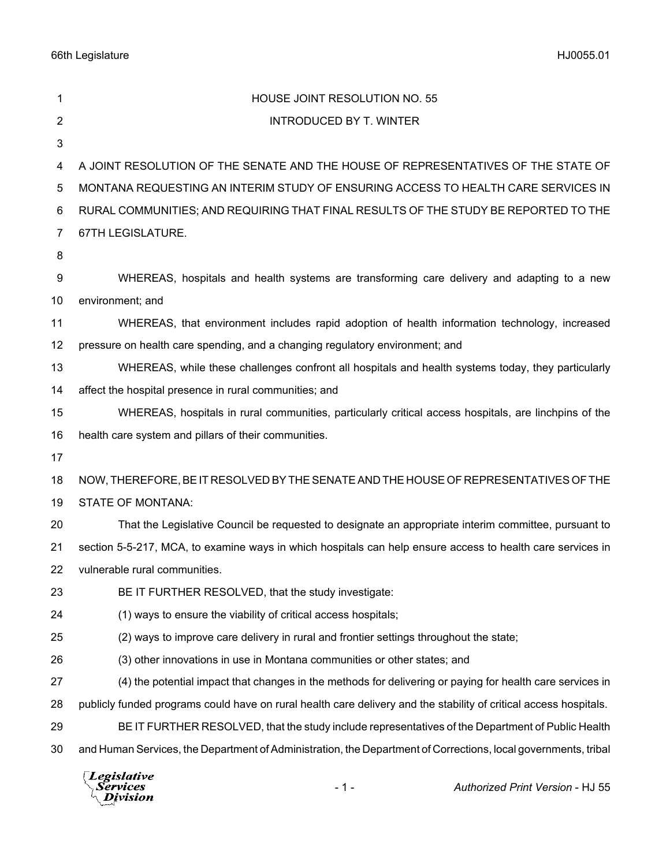66th Legislature HJ0055.01

| 1  | HOUSE JOINT RESOLUTION NO. 55                                                                                     |
|----|-------------------------------------------------------------------------------------------------------------------|
| 2  | <b>INTRODUCED BY T. WINTER</b>                                                                                    |
| 3  |                                                                                                                   |
| 4  | A JOINT RESOLUTION OF THE SENATE AND THE HOUSE OF REPRESENTATIVES OF THE STATE OF                                 |
| 5  | MONTANA REQUESTING AN INTERIM STUDY OF ENSURING ACCESS TO HEALTH CARE SERVICES IN                                 |
| 6  | RURAL COMMUNITIES; AND REQUIRING THAT FINAL RESULTS OF THE STUDY BE REPORTED TO THE                               |
| 7  | 67TH LEGISLATURE.                                                                                                 |
| 8  |                                                                                                                   |
| 9  | WHEREAS, hospitals and health systems are transforming care delivery and adapting to a new                        |
| 10 | environment; and                                                                                                  |
| 11 | WHEREAS, that environment includes rapid adoption of health information technology, increased                     |
| 12 | pressure on health care spending, and a changing regulatory environment; and                                      |
| 13 | WHEREAS, while these challenges confront all hospitals and health systems today, they particularly                |
| 14 | affect the hospital presence in rural communities; and                                                            |
| 15 | WHEREAS, hospitals in rural communities, particularly critical access hospitals, are linchpins of the             |
| 16 | health care system and pillars of their communities.                                                              |
| 17 |                                                                                                                   |
| 18 | NOW, THEREFORE, BE IT RESOLVED BY THE SENATE AND THE HOUSE OF REPRESENTATIVES OF THE                              |
| 19 | <b>STATE OF MONTANA:</b>                                                                                          |
| 20 | That the Legislative Council be requested to designate an appropriate interim committee, pursuant to              |
| 21 | section 5-5-217, MCA, to examine ways in which hospitals can help ensure access to health care services in        |
| 22 | vulnerable rural communities.                                                                                     |
| 23 | BE IT FURTHER RESOLVED, that the study investigate:                                                               |
| 24 | (1) ways to ensure the viability of critical access hospitals;                                                    |
| 25 | (2) ways to improve care delivery in rural and frontier settings throughout the state;                            |
| 26 | (3) other innovations in use in Montana communities or other states; and                                          |
| 27 | (4) the potential impact that changes in the methods for delivering or paying for health care services in         |
| 28 | publicly funded programs could have on rural health care delivery and the stability of critical access hospitals. |
| 29 | BE IT FURTHER RESOLVED, that the study include representatives of the Department of Public Health                 |
| 30 | and Human Services, the Department of Administration, the Department of Corrections, local governments, tribal    |
|    | $\Box$ actal attack                                                                                               |